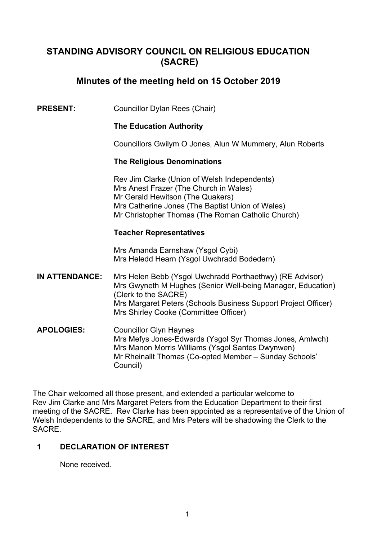# **STANDING ADVISORY COUNCIL ON RELIGIOUS EDUCATION (SACRE)**

# **Minutes of the meeting held on 15 October 2019**

**PRESENT:** Councillor Dylan Rees (Chair)

## **The Education Authority**

Councillors Gwilym O Jones, Alun W Mummery, Alun Roberts

## **The Religious Denominations**

Rev Jim Clarke (Union of Welsh Independents) Mrs Anest Frazer (The Church in Wales) Mr Gerald Hewitson (The Quakers) Mrs Catherine Jones (The Baptist Union of Wales) Mr Christopher Thomas (The Roman Catholic Church)

## **Teacher Representatives**

Mrs Amanda Earnshaw (Ysgol Cybi) Mrs Heledd Hearn (Ysgol Uwchradd Bodedern)

- **IN ATTENDANCE:** Mrs Helen Bebb (Ysgol Uwchradd Porthaethwy) (RE Advisor) Mrs Gwyneth M Hughes (Senior Well-being Manager, Education) (Clerk to the SACRE) Mrs Margaret Peters (Schools Business Support Project Officer) Mrs Shirley Cooke (Committee Officer)
- **APOLOGIES:** Councillor Glyn Haynes Mrs Mefys Jones-Edwards (Ysgol Syr Thomas Jones, Amlwch) Mrs Manon Morris Williams (Ysgol Santes Dwynwen) Mr Rheinallt Thomas (Co-opted Member – Sunday Schools' Council)

The Chair welcomed all those present, and extended a particular welcome to Rev Jim Clarke and Mrs Margaret Peters from the Education Department to their first meeting of the SACRE. Rev Clarke has been appointed as a representative of the Union of Welsh Independents to the SACRE, and Mrs Peters will be shadowing the Clerk to the **SACRE** 

# **1 DECLARATION OF INTEREST**

None received.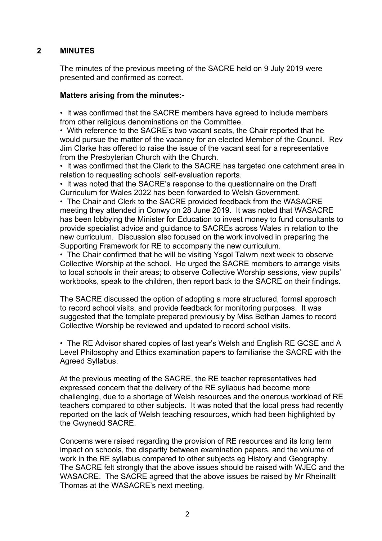# **2 MINUTES**

The minutes of the previous meeting of the SACRE held on 9 July 2019 were presented and confirmed as correct.

## **Matters arising from the minutes:-**

• It was confirmed that the SACRE members have agreed to include members from other religious denominations on the Committee.

• With reference to the SACRE's two vacant seats, the Chair reported that he would pursue the matter of the vacancy for an elected Member of the Council. Rev Jim Clarke has offered to raise the issue of the vacant seat for a representative from the Presbyterian Church with the Church.

• It was confirmed that the Clerk to the SACRE has targeted one catchment area in relation to requesting schools' self-evaluation reports.

• It was noted that the SACRE's response to the questionnaire on the Draft Curriculum for Wales 2022 has been forwarded to Welsh Government.

• The Chair and Clerk to the SACRE provided feedback from the WASACRE meeting they attended in Conwy on 28 June 2019. It was noted that WASACRE has been lobbying the Minister for Education to invest money to fund consultants to provide specialist advice and guidance to SACREs across Wales in relation to the new curriculum. Discussion also focused on the work involved in preparing the Supporting Framework for RE to accompany the new curriculum.

• The Chair confirmed that he will be visiting Ysgol Talwrn next week to observe Collective Worship at the school. He urged the SACRE members to arrange visits to local schools in their areas; to observe Collective Worship sessions, view pupils' workbooks, speak to the children, then report back to the SACRE on their findings.

The SACRE discussed the option of adopting a more structured, formal approach to record school visits, and provide feedback for monitoring purposes. It was suggested that the template prepared previously by Miss Bethan James to record Collective Worship be reviewed and updated to record school visits.

• The RE Advisor shared copies of last year's Welsh and English RE GCSE and A Level Philosophy and Ethics examination papers to familiarise the SACRE with the Agreed Syllabus.

At the previous meeting of the SACRE, the RE teacher representatives had expressed concern that the delivery of the RE syllabus had become more challenging, due to a shortage of Welsh resources and the onerous workload of RE teachers compared to other subjects. It was noted that the local press had recently reported on the lack of Welsh teaching resources, which had been highlighted by the Gwynedd SACRE.

Concerns were raised regarding the provision of RE resources and its long term impact on schools, the disparity between examination papers, and the volume of work in the RE syllabus compared to other subjects eg History and Geography. The SACRE felt strongly that the above issues should be raised with WJEC and the WASACRE. The SACRE agreed that the above issues be raised by Mr Rheinallt Thomas at the WASACRE's next meeting.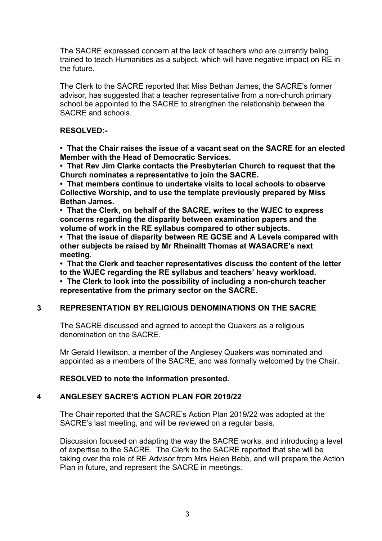The SACRE expressed concern at the lack of teachers who are currently being trained to teach Humanities as a subject, which will have negative impact on RE in the future.

The Clerk to the SACRE reported that Miss Bethan James, the SACRE's former advisor, has suggested that a teacher representative from a non-church primary school be appointed to the SACRE to strengthen the relationship between the SACRE and schools.

## **RESOLVED:-**

**• That the Chair raises the issue of a vacant seat on the SACRE for an elected Member with the Head of Democratic Services.**

**• That Rev Jim Clarke contacts the Presbyterian Church to request that the Church nominates a representative to join the SACRE.**

**• That members continue to undertake visits to local schools to observe Collective Worship, and to use the template previously prepared by Miss Bethan James.**

**• That the Clerk, on behalf of the SACRE, writes to the WJEC to express concerns regarding the disparity between examination papers and the volume of work in the RE syllabus compared to other subjects.**

**• That the issue of disparity between RE GCSE and A Levels compared with other subjects be raised by Mr Rheinallt Thomas at WASACRE's next meeting.**

**• That the Clerk and teacher representatives discuss the content of the letter to the WJEC regarding the RE syllabus and teachers' heavy workload.** 

**• The Clerk to look into the possibility of including a non-church teacher representative from the primary sector on the SACRE.**

#### **3 REPRESENTATION BY RELIGIOUS DENOMINATIONS ON THE SACRE**

The SACRE discussed and agreed to accept the Quakers as a religious denomination on the SACRE.

Mr Gerald Hewitson, a member of the Anglesey Quakers was nominated and appointed as a members of the SACRE, and was formally welcomed by the Chair.

#### **RESOLVED to note the information presented.**

#### **4 ANGLESEY SACRE'S ACTION PLAN FOR 2019/22**

The Chair reported that the SACRE's Action Plan 2019/22 was adopted at the SACRE's last meeting, and will be reviewed on a regular basis.

Discussion focused on adapting the way the SACRE works, and introducing a level of expertise to the SACRE. The Clerk to the SACRE reported that she will be taking over the role of RE Advisor from Mrs Helen Bebb, and will prepare the Action Plan in future, and represent the SACRE in meetings.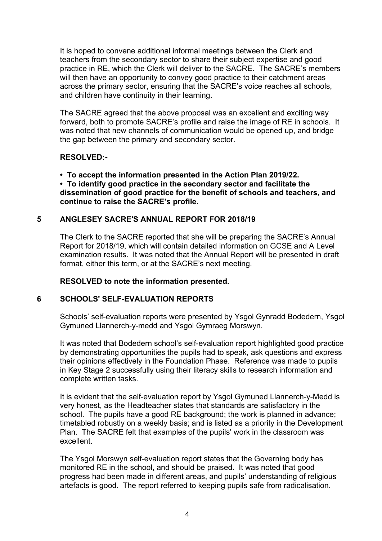It is hoped to convene additional informal meetings between the Clerk and teachers from the secondary sector to share their subject expertise and good practice in RE, which the Clerk will deliver to the SACRE. The SACRE's members will then have an opportunity to convey good practice to their catchment areas across the primary sector, ensuring that the SACRE's voice reaches all schools, and children have continuity in their learning.

The SACRE agreed that the above proposal was an excellent and exciting way forward, both to promote SACRE's profile and raise the image of RE in schools. It was noted that new channels of communication would be opened up, and bridge the gap between the primary and secondary sector.

## **RESOLVED:-**

**• To accept the information presented in the Action Plan 2019/22.**

**• To identify good practice in the secondary sector and facilitate the dissemination of good practice for the benefit of schools and teachers, and continue to raise the SACRE's profile.**

# **5 ANGLESEY SACRE'S ANNUAL REPORT FOR 2018/19**

The Clerk to the SACRE reported that she will be preparing the SACRE's Annual Report for 2018/19, which will contain detailed information on GCSE and A Level examination results. It was noted that the Annual Report will be presented in draft format, either this term, or at the SACRE's next meeting.

# **RESOLVED to note the information presented.**

# **6 SCHOOLS' SELF-EVALUATION REPORTS**

Schools' self-evaluation reports were presented by Ysgol Gynradd Bodedern, Ysgol Gymuned Llannerch-y-medd and Ysgol Gymraeg Morswyn.

It was noted that Bodedern school's self-evaluation report highlighted good practice by demonstrating opportunities the pupils had to speak, ask questions and express their opinions effectively in the Foundation Phase. Reference was made to pupils in Key Stage 2 successfully using their literacy skills to research information and complete written tasks.

It is evident that the self-evaluation report by Ysgol Gymuned Llannerch-y-Medd is very honest, as the Headteacher states that standards are satisfactory in the school. The pupils have a good RE background; the work is planned in advance; timetabled robustly on a weekly basis; and is listed as a priority in the Development Plan. The SACRE felt that examples of the pupils' work in the classroom was excellent.

The Ysgol Morswyn self-evaluation report states that the Governing body has monitored RE in the school, and should be praised. It was noted that good progress had been made in different areas, and pupils' understanding of religious artefacts is good. The report referred to keeping pupils safe from radicalisation.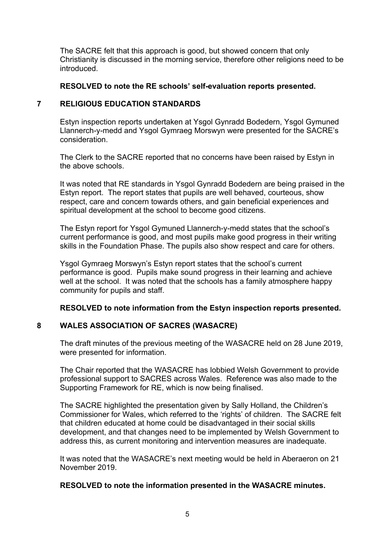The SACRE felt that this approach is good, but showed concern that only Christianity is discussed in the morning service, therefore other religions need to be introduced.

## **RESOLVED to note the RE schools' self-evaluation reports presented.**

### **7 RELIGIOUS EDUCATION STANDARDS**

Estyn inspection reports undertaken at Ysgol Gynradd Bodedern, Ysgol Gymuned Llannerch-y-medd and Ysgol Gymraeg Morswyn were presented for the SACRE's consideration.

The Clerk to the SACRE reported that no concerns have been raised by Estyn in the above schools.

It was noted that RE standards in Ysgol Gynradd Bodedern are being praised in the Estyn report. The report states that pupils are well behaved, courteous, show respect, care and concern towards others, and gain beneficial experiences and spiritual development at the school to become good citizens.

The Estyn report for Ysgol Gymuned Llannerch-y-medd states that the school's current performance is good, and most pupils make good progress in their writing skills in the Foundation Phase. The pupils also show respect and care for others.

Ysgol Gymraeg Morswyn's Estyn report states that the school's current performance is good. Pupils make sound progress in their learning and achieve well at the school. It was noted that the schools has a family atmosphere happy community for pupils and staff.

#### **RESOLVED to note information from the Estyn inspection reports presented.**

# **8 WALES ASSOCIATION OF SACRES (WASACRE)**

The draft minutes of the previous meeting of the WASACRE held on 28 June 2019, were presented for information.

The Chair reported that the WASACRE has lobbied Welsh Government to provide professional support to SACRES across Wales. Reference was also made to the Supporting Framework for RE, which is now being finalised.

The SACRE highlighted the presentation given by Sally Holland, the Children's Commissioner for Wales, which referred to the 'rights' of children. The SACRE felt that children educated at home could be disadvantaged in their social skills development, and that changes need to be implemented by Welsh Government to address this, as current monitoring and intervention measures are inadequate.

It was noted that the WASACRE's next meeting would be held in Aberaeron on 21 November 2019.

## **RESOLVED to note the information presented in the WASACRE minutes.**